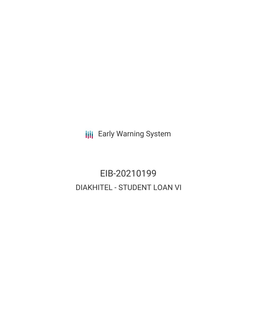**III** Early Warning System

# EIB-20210199 DIAKHITEL - STUDENT LOAN VI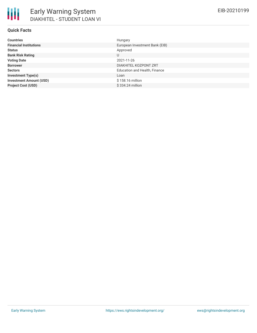| <b>Countries</b>               | Hungary                        |
|--------------------------------|--------------------------------|
| <b>Financial Institutions</b>  | European Investment Bank (EIB) |
| <b>Status</b>                  | Approved                       |
| <b>Bank Risk Rating</b>        | U                              |
| <b>Voting Date</b>             | 2021-11-26                     |
| <b>Borrower</b>                | DIAKHITEL KOZPONT ZRT          |
| <b>Sectors</b>                 | Education and Health, Finance  |
| <b>Investment Type(s)</b>      | Loan                           |
| <b>Investment Amount (USD)</b> | \$158.16 million               |
| <b>Project Cost (USD)</b>      | \$334.24 million               |

EIB-20210199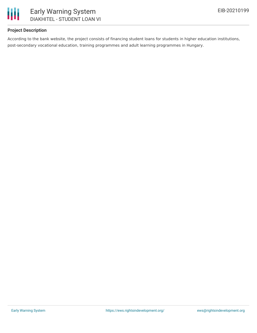

# **Project Description**

According to the bank website, the project consists of financing student loans for students in higher education institutions, post-secondary vocational education, training programmes and adult learning programmes in Hungary.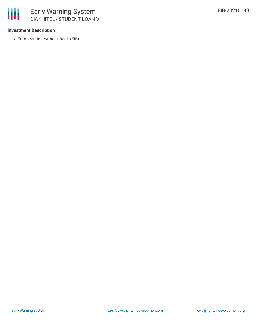

## **Investment Description**

European Investment Bank (EIB)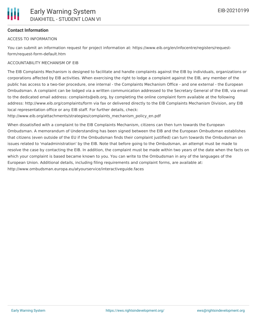# **Contact Information**

## ACCESS TO INFORMATION

You can submit an information request for project information at: https://www.eib.org/en/infocentre/registers/requestform/request-form-default.htm

## ACCOUNTABILITY MECHANISM OF EIB

The EIB Complaints Mechanism is designed to facilitate and handle complaints against the EIB by individuals, organizations or corporations affected by EIB activities. When exercising the right to lodge a complaint against the EIB, any member of the public has access to a two-tier procedure, one internal - the Complaints Mechanism Office - and one external - the European Ombudsman. A complaint can be lodged via a written communication addressed to the Secretary General of the EIB, via email to the dedicated email address: complaints@eib.org, by completing the online complaint form available at the following address: http://www.eib.org/complaints/form via fax or delivered directly to the EIB Complaints Mechanism Division, any EIB local representation office or any EIB staff. For further details, check:

http://www.eib.org/attachments/strategies/complaints\_mechanism\_policy\_en.pdf

When dissatisfied with a complaint to the EIB Complaints Mechanism, citizens can then turn towards the European Ombudsman. A memorandum of Understanding has been signed between the EIB and the European Ombudsman establishes that citizens (even outside of the EU if the Ombudsman finds their complaint justified) can turn towards the Ombudsman on issues related to 'maladministration' by the EIB. Note that before going to the Ombudsman, an attempt must be made to resolve the case by contacting the EIB. In addition, the complaint must be made within two years of the date when the facts on which your complaint is based became known to you. You can write to the Ombudsman in any of the languages of the European Union. Additional details, including filing requirements and complaint forms, are available at: http://www.ombudsman.europa.eu/atyourservice/interactiveguide.faces